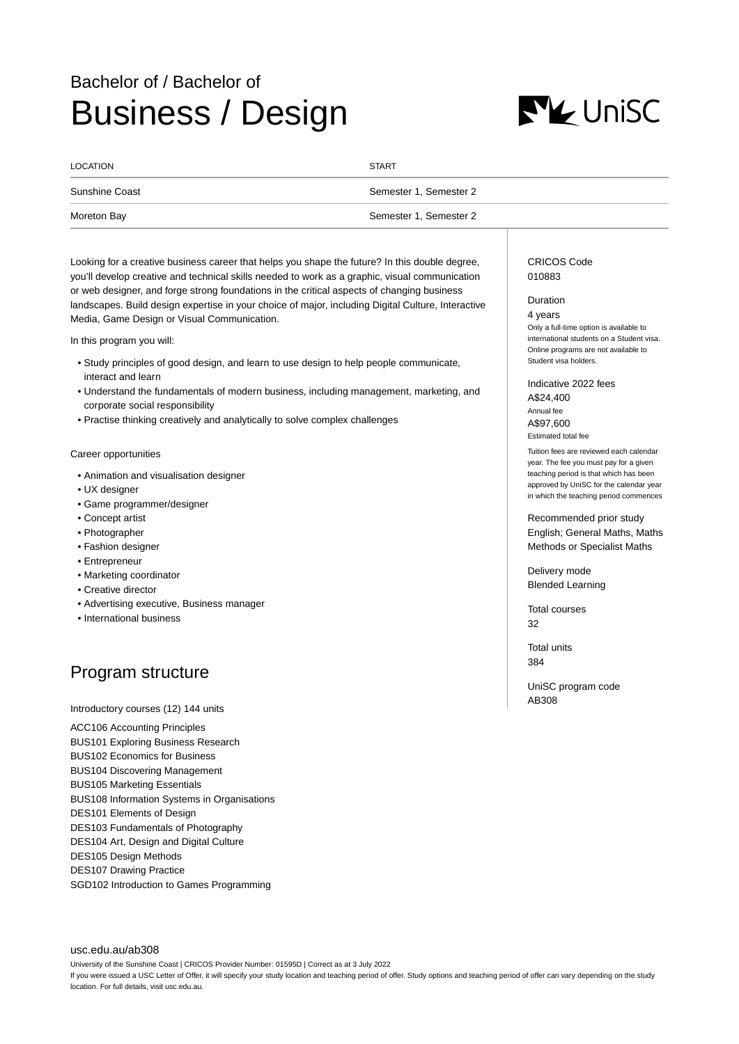# Bachelor of / Bachelor of Business / Design



| LOCATION       | <b>START</b>           |
|----------------|------------------------|
| Sunshine Coast | Semester 1, Semester 2 |
| Moreton Bay    | Semester 1, Semester 2 |

Looking for a creative business career that helps you shape the future? In this double degree, you'll develop creative and technical skills needed to work as a graphic, visual communication or web designer, and forge strong foundations in the critical aspects of changing business landscapes. Build design expertise in your choice of major, including Digital Culture, Interactive Media, Game Design or Visual Communication.

In this program you will:

- Study principles of good design, and learn to use design to help people communicate, interact and learn
- Understand the fundamentals of modern business, including management, marketing, and corporate social responsibility
- Practise thinking creatively and analytically to solve complex challenges

### Career opportunities

- Animation and visualisation designer
- UX designer
- Game programmer/designer
- Concept artist
- Photographer
- Fashion designer
- Entrepreneur
- Marketing coordinator
- Creative director
- Advertising executive, Business manager
- International business

## Program structure

Introductory courses (12) 144 units

ACC106 Accounting Principles BUS101 Exploring Business Research BUS102 Economics for Business BUS104 Discovering Management BUS105 Marketing Essentials BUS108 Information Systems in Organisations DES101 Elements of Design DES103 Fundamentals of Photography DES104 Art, Design and Digital Culture DES105 Design Methods DES107 Drawing Practice SGD102 Introduction to Games Programming

[usc.edu.au/ab308](https://www.usc.edu.au/ab308) University of the Sunshine Coast | CRICOS Provider Number: 01595D | Correct as at 3 July 2022 If you were issued a USC Letter of Offer, it will specify your study location and teaching period of offer. Study options and teaching period of offer can vary depending on the study location. For full details, visit usc.edu.au.

CRICOS Code 010883

## Duration

4 years Only a full-time option is available to international students on a Student visa. Online programs are not available to Student visa holders.

Indicative 2022 fees A\$24,400 Annual fee A\$97,600 Estimated total fee

Tuition fees are reviewed each calendar year. The fee you must pay for a given teaching period is that which has been approved by UniSC for the calendar year in which the teaching period commences

Recommended prior study English; General Maths, Maths Methods or Specialist Maths

Delivery mode Blended Learning

Total courses 32

Total units 384

UniSC program code AB308